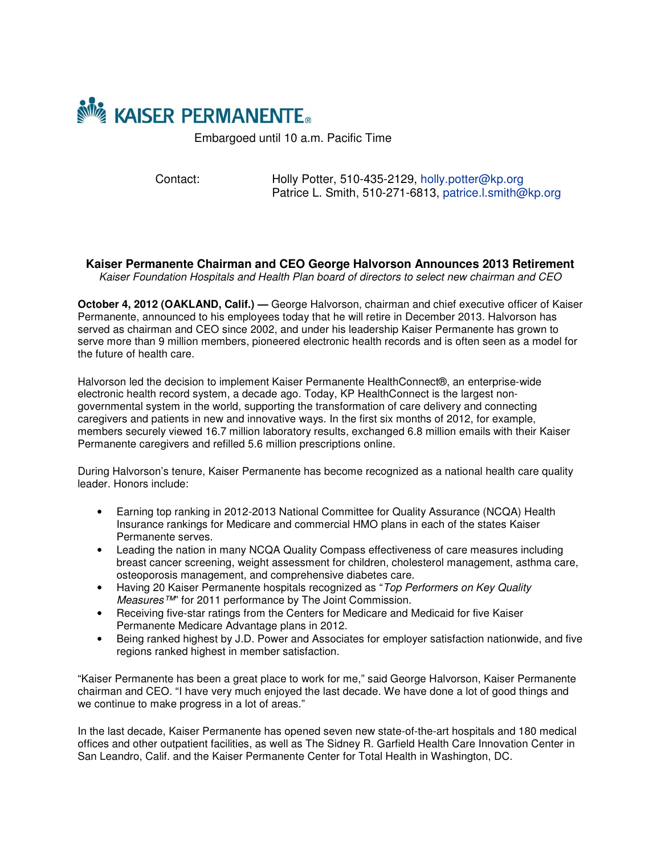

Embargoed until 10 a.m. Pacific Time

Contact: Holly Potter, 510-435-2129, holly.potter@kp.org Patrice L. Smith, 510-271-6813, patrice.l.smith@kp.org

**Kaiser Permanente Chairman and CEO George Halvorson Announces 2013 Retirement** *Kaiser Foundation Hospitals and Health Plan board of directors to select new chairman and CEO*

**October 4, 2012 (OAKLAND, Calif.) —** George Halvorson, chairman and chief executive officer of Kaiser Permanente, announced to his employees today that he will retire in December 2013. Halvorson has served as chairman and CEO since 2002, and under his leadership Kaiser Permanente has grown to serve more than 9 million members, pioneered electronic health records and is often seen as a model for the future of health care.

Halvorson led the decision to implement Kaiser Permanente HealthConnect®, an enterprise-wide electronic health record system, a decade ago. Today, KP HealthConnect is the largest nongovernmental system in the world, supporting the transformation of care delivery and connecting caregivers and patients in new and innovative ways. In the first six months of 2012, for example, members securely viewed 16.7 million laboratory results, exchanged 6.8 million emails with their Kaiser Permanente caregivers and refilled 5.6 million prescriptions online.

During Halvorson's tenure, Kaiser Permanente has become recognized as a national health care quality leader. Honors include:

- Earning top ranking in 2012-2013 National Committee for Quality Assurance (NCQA) Health Insurance rankings for Medicare and commercial HMO plans in each of the states Kaiser Permanente serves.
- Leading the nation in many NCQA Quality Compass effectiveness of care measures including breast cancer screening, weight assessment for children, cholesterol management, asthma care, osteoporosis management, and comprehensive diabetes care.
- Having 20 Kaiser Permanente hospitals recognized as "*Top Performers on Key Quality Measures™*" for 2011 performance by The Joint Commission.
- Receiving five-star ratings from the Centers for Medicare and Medicaid for five Kaiser Permanente Medicare Advantage plans in 2012.
- Being ranked highest by J.D. Power and Associates for employer satisfaction nationwide, and five regions ranked highest in member satisfaction.

"Kaiser Permanente has been a great place to work for me," said George Halvorson, Kaiser Permanente chairman and CEO. "I have very much enjoyed the last decade. We have done a lot of good things and we continue to make progress in a lot of areas."

In the last decade, Kaiser Permanente has opened seven new state-of-the-art hospitals and 180 medical offices and other outpatient facilities, as well as The Sidney R. Garfield Health Care Innovation Center in San Leandro, Calif. and the Kaiser Permanente Center for Total Health in Washington, DC.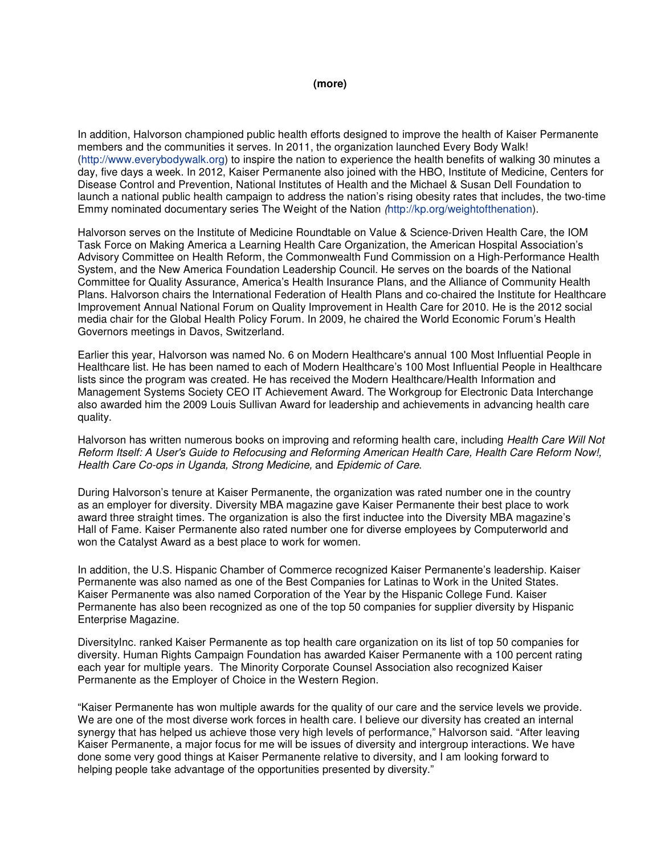## **(more)**

In addition, Halvorson championed public health efforts designed to improve the health of Kaiser Permanente members and the communities it serves. In 2011, the organization launched Every Body Walk! (http://www.everybodywalk.org) to inspire the nation to experience the health benefits of walking 30 minutes a day, five days a week. In 2012, Kaiser Permanente also joined with the HBO, Institute of Medicine, Centers for Disease Control and Prevention, National Institutes of Health and the Michael & Susan Dell Foundation to launch a national public health campaign to address the nation's rising obesity rates that includes, the two-time Emmy nominated documentary series The Weight of the Nation *(*http://kp.org/weightofthenation).

Halvorson serves on the Institute of Medicine Roundtable on Value & Science-Driven Health Care, the IOM Task Force on Making America a Learning Health Care Organization, the American Hospital Association's Advisory Committee on Health Reform, the Commonwealth Fund Commission on a High-Performance Health System, and the New America Foundation Leadership Council. He serves on the boards of the National Committee for Quality Assurance, America's Health Insurance Plans, and the Alliance of Community Health Plans. Halvorson chairs the International Federation of Health Plans and co-chaired the Institute for Healthcare Improvement Annual National Forum on Quality Improvement in Health Care for 2010. He is the 2012 social media chair for the Global Health Policy Forum. In 2009, he chaired the World Economic Forum's Health Governors meetings in Davos, Switzerland.

Earlier this year, Halvorson was named No. 6 on Modern Healthcare's annual 100 Most Influential People in Healthcare list. He has been named to each of Modern Healthcare's 100 Most Influential People in Healthcare lists since the program was created. He has received the Modern Healthcare/Health Information and Management Systems Society CEO IT Achievement Award. The Workgroup for Electronic Data Interchange also awarded him the 2009 Louis Sullivan Award for leadership and achievements in advancing health care quality.

Halvorson has written numerous books on improving and reforming health care, including *Health Care Will Not Reform Itself: A User's Guide to Refocusing and Reforming American Health Care, Health Care Reform Now!, Health Care Co-ops in Uganda, Strong Medicine,* and *Epidemic of Care*.

During Halvorson's tenure at Kaiser Permanente, the organization was rated number one in the country as an employer for diversity. Diversity MBA magazine gave Kaiser Permanente their best place to work award three straight times. The organization is also the first inductee into the Diversity MBA magazine's Hall of Fame. Kaiser Permanente also rated number one for diverse employees by Computerworld and won the Catalyst Award as a best place to work for women.

In addition, the U.S. Hispanic Chamber of Commerce recognized Kaiser Permanente's leadership. Kaiser Permanente was also named as one of the Best Companies for Latinas to Work in the United States. Kaiser Permanente was also named Corporation of the Year by the Hispanic College Fund. Kaiser Permanente has also been recognized as one of the top 50 companies for supplier diversity by Hispanic Enterprise Magazine.

DiversityInc. ranked Kaiser Permanente as top health care organization on its list of top 50 companies for diversity. Human Rights Campaign Foundation has awarded Kaiser Permanente with a 100 percent rating each year for multiple years. The Minority Corporate Counsel Association also recognized Kaiser Permanente as the Employer of Choice in the Western Region.

"Kaiser Permanente has won multiple awards for the quality of our care and the service levels we provide. We are one of the most diverse work forces in health care. I believe our diversity has created an internal synergy that has helped us achieve those very high levels of performance," Halvorson said. "After leaving Kaiser Permanente, a major focus for me will be issues of diversity and intergroup interactions. We have done some very good things at Kaiser Permanente relative to diversity, and I am looking forward to helping people take advantage of the opportunities presented by diversity."